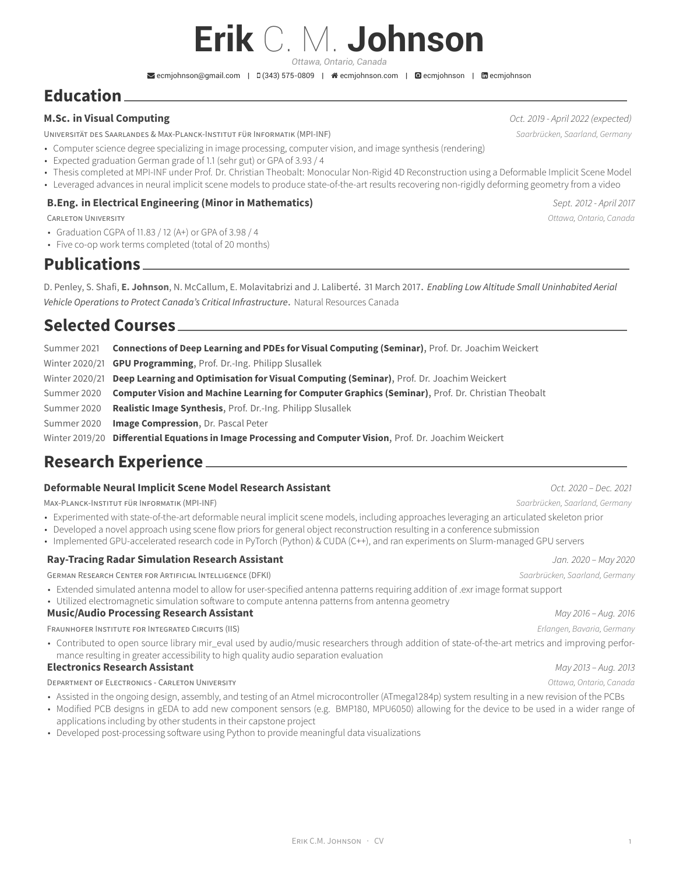# **Erik** C. M. **Johnson**

*Ottawa, Ontario, Canada*

 $\blacktriangleright$  [ecmjohnson@gmail.com](mailto:ecmjohnson@gmail.com) | 0 (343) 575-0809 |  $\blacktriangleleft$  [ecmjohnson.com](http://ecmjohnson.com) |  $\bowtie$  [ecmjohnson](https://www.linkedin.com/in/ecmjohnson) |  $\bowtie$  ecmjohnson

### **Education**

#### **M.Sc. in Visual Computing** *Oct. 2019 - April 2022 (expected)*

UNIVERSITÄT DES SAARLANDES & MAX-PLANCK-INSTITUT FÜR INFORMATIK (MPI-INF) *Saarbrücken, Saarland, Germany*

- Computer science degree specializing in image processing, computer vision, and image synthesis (rendering)
- Expected graduation German grade of 1.1 (sehr gut) or GPA of 3.93 / 4
- Thesis completed at MPI-INF under Prof. Dr. Christian Theobalt: Monocular Non-Rigid 4D Reconstruction using a Deformable Implicit Scene Model
- Leveraged advances in neural implicit scene models to produce state-of-the-art results recovering non-rigidly deforming geometry from a video

#### **B.Eng. in Electrical Engineering (Minor in Mathematics)** *Sept. 2012 - April 2017*

CARLETON UNIVERSITY *Ottawa, Ontario, Canada*

- Graduation CGPA of 11.83 / 12 (A+) or GPA of 3.98 / 4
- Five co-op work terms completed (total of 20 months)

**Publications**

D. Penley, S. Shafi, **E. Johnson**, N. McCallum, E. Molavitabrizi and J. Laliberté. 31 March 2017. *Enabling Low Altitude Small Uninhabited Aerial Vehicle Operations to Protect Canada's Critical Infrastructure*. Natural Resources Canada

### **Selected Courses**

Summer 2021 **Connections of Deep Learning and PDEs for Visual Computing (Seminar)**, Prof. Dr. Joachim Weickert Winter 2020/21 **GPU Programming**, Prof. Dr.-Ing. Philipp Slusallek

Winter 2020/21 **Deep Learning and Optimisation for Visual Computing (Seminar)**, Prof. Dr. Joachim Weickert

Summer 2020 **Computer Vision and Machine Learning for Computer Graphics (Seminar)**, Prof. Dr. Christian Theobalt

Summer 2020 **Realistic Image Synthesis**, Prof. Dr.-Ing. Philipp Slusallek

Summer 2020 **Image Compression**, Dr. Pascal Peter

Winter 2019/20 **Differential Equations in Image Processing and Computer Vision**, Prof. Dr. Joachim Weickert

### **Research Experience**

#### **Deformable Neural Implicit Scene Model Research Assistant** *Oct. 2020 – Dec. 2021*

MAX-PLANCK-INSTITUT FÜR INFORMATIK (MPI-INF) *Saarbrücken, Saarland, Germany*

- Experimented with state-of-the-art deformable neural implicit scene models, including approaches leveraging an articulated skeleton prior
- Developed a novel approach using scene flow priors for general object reconstruction resulting in a conference submission
- Implemented GPU-accelerated research code in PyTorch (Python) & CUDA (C++), and ran experiments on Slurm-managed GPU servers

#### **Ray-Tracing Radar Simulation Research Assistant** *Jan. 2020 – May 2020*

GERMAN RESEARCH CENTER FOR ARTIFICIAL INTELLIGENCE (DFKI) *Saarbrücken, Saarland, Germany*

- Extended simulated antenna model to allow for user-specified antenna patterns requiring addition of .exr image format support
- Utilized electromagnetic simulation software to compute antenna patterns from antenna geometry

#### **Music/Audio Processing Research Assistant** *May 2016 – Aug. 2016*

FRAUNHOFER INSTITUTE FOR INTEGRATED CIRCUITS (IIS) *Erlangen, Bavaria, Germany*

• Contributed to open source library mir\_eval used by audio/music researchers through addition of state-of-the-art metrics and improving performance resulting in greater accessibility to high quality audio separation evaluation

#### **Electronics Research Assistant** *May 2013 – Aug. 2013*

DEPARTMENT OF ELECTRONICS - CARLETON UNIVERSITY *Ottawa, Ontario, Canada*

- Assisted in the ongoing design, assembly, and testing of an Atmel microcontroller (ATmega1284p) system resulting in a new revision of the PCBs
- Modified PCB designs in gEDA to add new component sensors (e.g. BMP180, MPU6050) allowing for the device to be used in a wider range of applications including by other students in their capstone project
- Developed post-processing software using Python to provide meaningful data visualizations

ERIK C.M. JOHNSON · CV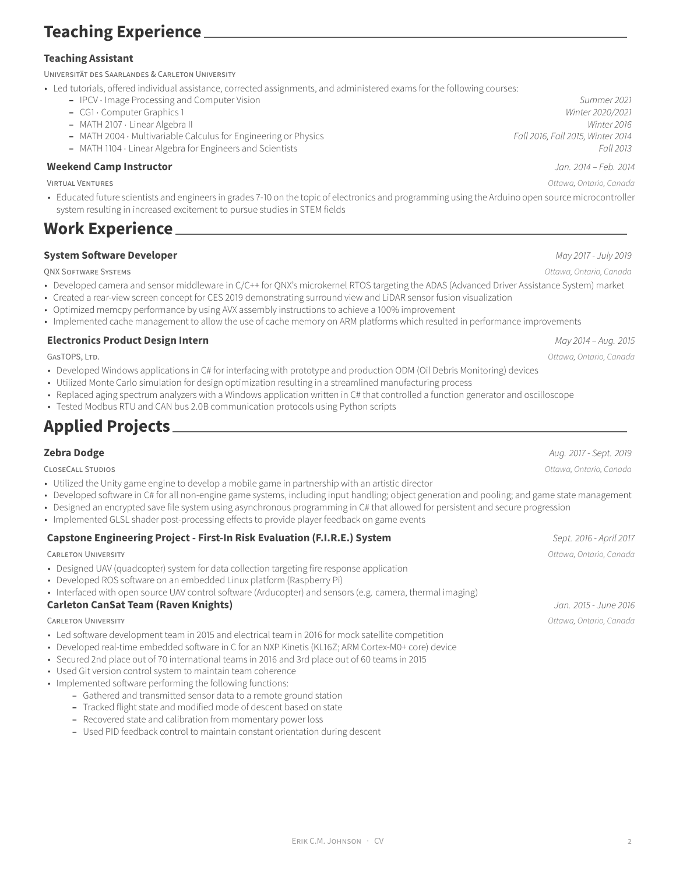### **Teaching Assistant**

UNIVERSITÄT DES SAARLANDES & CARLETON UNIVERSITY

- Led tutorials, offered individual assistance, corrected assignments, and administered exams for the following courses:
	- **–** IPCV ⋅ Image Processing and Computer Vision *Summer 2021*
		-
		-
		- **–** MATH 2004 ⋅ Multivariable Calculus for Engineering or Physics *Fall 2016, Fall 2015, Winter 2014*
		- **–** MATH 1104 ⋅ Linear Algebra for Engineers and Scientists *Fall 2013*

### **Weekend Camp Instructor** *Jan. 2014 – Feb. 2014*

• Educated future scientists and engineers in grades 7-10 on the topic of electronics and programming using the Arduino open source microcontroller system resulting in increased excitement to pursue studies in STEM fields

### **Work Experience**

#### **System Software Developer** *May 2017 - July 2019*

QNX SOFTWARE SYSTEMS *Ottawa, Ontario, Canada*

- Developed camera and sensor middleware in C/C++ for QNX's microkernel RTOS targeting the ADAS (Advanced Driver Assistance System) market
- Created a rear-view screen concept for CES 2019 demonstrating surround view and LiDAR sensor fusion visualization
- Optimized memcpy performance by using AVX assembly instructions to achieve a 100% improvement
- Implemented cache management to allow the use of cache memory on ARM platforms which resulted in performance improvements

#### **Electronics Product Design Intern** *May 2014 – Aug. 2015*

GASTOPS, LTD. *Ottawa, Ontario, Canada*

- Developed Windows applications in C# for interfacing with prototype and production ODM (Oil Debris Monitoring) devices
- Utilized Monte Carlo simulation for design optimization resulting in a streamlined manufacturing process
- Replaced aging spectrum analyzers with a Windows application written in C# that controlled a function generator and oscilloscope
- Tested Modbus RTU and CAN bus 2.0B communication protocols using Python scripts

# **Applied Projects**

- Utilized the Unity game engine to develop a mobile game in partnership with an artistic director
- Developed software in C# for all non-engine game systems, including input handling; object generation and pooling; and game state management
- Designed an encrypted save file system using asynchronous programming in C# that allowed for persistent and secure progression
- Implemented GLSL shader post-processing effects to provide player feedback on game events

### **Capstone Engineering Project - First-In Risk Evaluation (F.I.R.E.) System** *Sept. 2016 - April 2017*

- Designed UAV (quadcopter) system for data collection targeting fire response application
- Developed ROS software on an embedded Linux platform (Raspberry Pi)
- Interfaced with open source UAV control software (Arducopter) and sensors (e.g. camera, thermal imaging)

#### **Carleton CanSat Team (Raven Knights)** *Jan. 2015 - June 2016*

- Led software development team in 2015 and electrical team in 2016 for mock satellite competition
- Developed real-time embedded software in C for an NXP Kinetis (KL16Z; ARM Cortex-M0+ core) device
- Secured 2nd place out of 70 international teams in 2016 and 3rd place out of 60 teams in 2015
- Used Git version control system to maintain team coherence
- Implemented software performing the following functions:
	- **–** Gathered and transmitted sensor data to a remote ground station
	- **–** Tracked flight state and modified mode of descent based on state
	- **–** Recovered state and calibration from momentary power loss
	- **–** Used PID feedback control to maintain constant orientation during descent

**Zebra Dodge** *Aug. 2017 - Sept. 2019* CLOSECALL STUDIOS *Ottawa, Ontario, Canada*

CARLETON UNIVERSITY *Ottawa, Ontario, Canada*

CARLETON UNIVERSITY *Ottawa, Ontario, Canada*

**–** CG1 ⋅ Computer Graphics 1 *Winter 2020/2021* **–** MATH 2107 ⋅ Linear Algebra II *Winter 2016*

VIRTUAL VENTURES *Ottawa, Ontario, Canada*